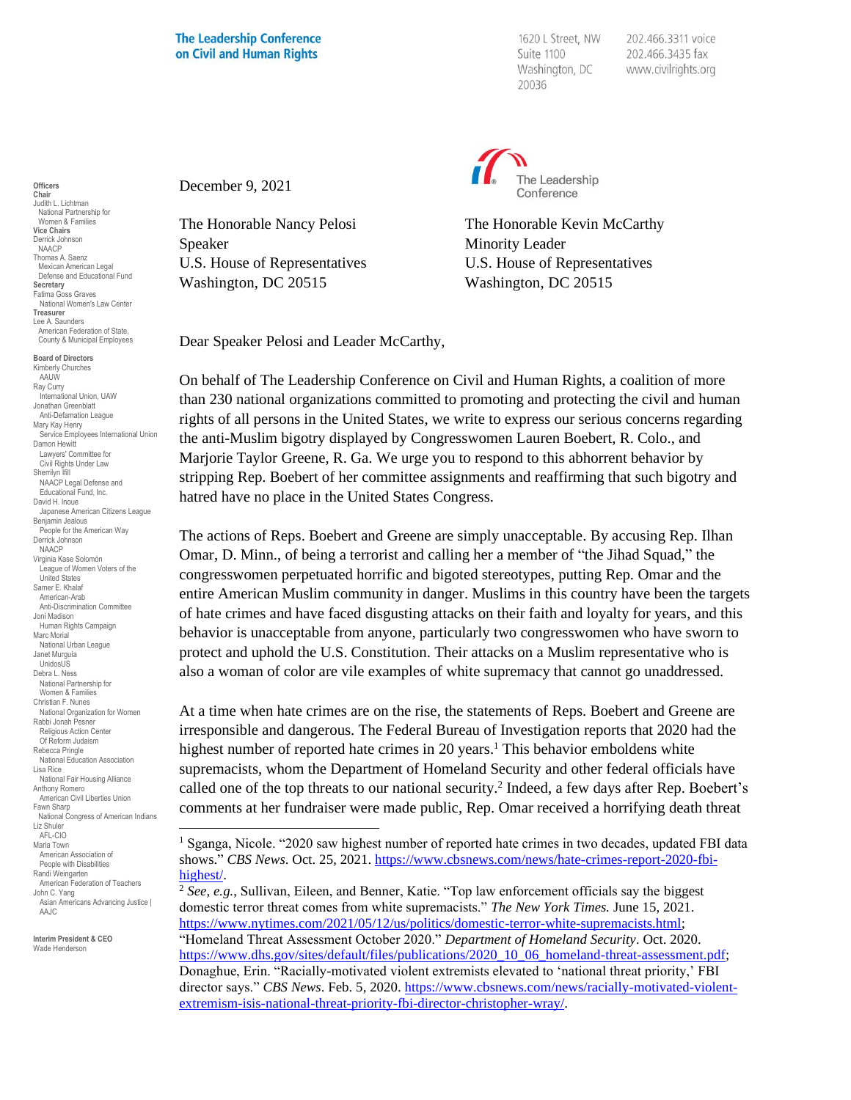## **The Leadership Conference** on Civil and Human Rights

December 9, 2021

1620 L Street, NW Suite 1100 Washington, DC 20036

202.466.3311 voice 202.466.3435 fax www.civilrights.org



The Honorable Nancy Pelosi The Honorable Kevin McCarthy Speaker Minority Leader U.S. House of Representatives U.S. House of Representatives Washington, DC 20515 Washington, DC 20515

Dear Speaker Pelosi and Leader McCarthy,

On behalf of The Leadership Conference on Civil and Human Rights, a coalition of more than 230 national organizations committed to promoting and protecting the civil and human rights of all persons in the United States, we write to express our serious concerns regarding the anti-Muslim bigotry displayed by Congresswomen Lauren Boebert, R. Colo., and Marjorie Taylor Greene, R. Ga. We urge you to respond to this abhorrent behavior by stripping Rep. Boebert of her committee assignments and reaffirming that such bigotry and hatred have no place in the United States Congress.

The actions of Reps. Boebert and Greene are simply unacceptable. By accusing Rep. Ilhan Omar, D. Minn., of being a terrorist and calling her a member of "the Jihad Squad," the congresswomen perpetuated horrific and bigoted stereotypes, putting Rep. Omar and the entire American Muslim community in danger. Muslims in this country have been the targets of hate crimes and have faced disgusting attacks on their faith and loyalty for years, and this behavior is unacceptable from anyone, particularly two congresswomen who have sworn to protect and uphold the U.S. Constitution. Their attacks on a Muslim representative who is also a woman of color are vile examples of white supremacy that cannot go unaddressed.

At a time when hate crimes are on the rise, the statements of Reps. Boebert and Greene are irresponsible and dangerous. The Federal Bureau of Investigation reports that 2020 had the highest number of reported hate crimes in 20 years.<sup>1</sup> This behavior emboldens white supremacists, whom the Department of Homeland Security and other federal officials have called one of the top threats to our national security.<sup>2</sup> Indeed, a few days after Rep. Boebert's comments at her fundraiser were made public, Rep. Omar received a horrifying death threat

**Officers Chair** Judith L. Lichtman National Partnership for Women & Families **Vice Chairs** Derrick Johnson NAACP Thomas A. Saenz Mexican American Legal Defense and Educational Fund **Secretary** Fatima Goss Graves National Women's Law Center **Treasurer** Lee A. Saunders American Federation of State, County & Municipal Employees

**Board of Directors** Kimberly Churches AAUW Ray Curry International Union, UAW Jonathan Greenblatt Anti-Defamation League Mary Kay Henry Service Employees International Union Damon Hewitt Lawyers' Committee for Civil Rights Under Law Sherrilyn Ifill NAACP Legal Defense and Educational Fund, Inc. David H. Inoue Japanese American Citizens League Benjamin Jealous People for the American Way Derrick Johnson NAACP Virginia Kase Solomón League of Women Voters of the United States Samer E. Khalaf American-Arab Anti-Discrimination Committee Joni Madison Human Rights Campaign Marc Morial National Urban League Janet Murguía UnidosUS Debra L. Ness National Partnership for Women & Families Christian F. Nunes National Organization for Women Rabbi Jonah Pesner Religious Action Center Of Reform Judaism Rebecca Pringle National Education Association Lisa Rice National Fair Housing Alliance Anthony Romero American Civil Liberties Union Fawn Sharp National Congress of American Indians Liz Shuler AFL-CIO Maria Town American Association of People with Disabilities Randi Weingarten American Federation of Teachers John C. Yang Asian Americans Advancing Justice | AA.IC

**Interim President & CEO** Wade Henderson

<sup>&</sup>lt;sup>1</sup> Sganga, Nicole. "2020 saw highest number of reported hate crimes in two decades, updated FBI data shows." *CBS News*. Oct. 25, 2021. [https://www.cbsnews.com/news/hate-crimes-report-2020-fbi](https://www.cbsnews.com/news/hate-crimes-report-2020-fbi-highest/)[highest/.](https://www.cbsnews.com/news/hate-crimes-report-2020-fbi-highest/)

<sup>2</sup> *See, e.g.*, Sullivan, Eileen, and Benner, Katie. "Top law enforcement officials say the biggest domestic terror threat comes from white supremacists." *The New York Times.* June 15, 2021. [https://www.nytimes.com/2021/05/12/us/politics/domestic-terror-white-supremacists.html;](https://www.nytimes.com/2021/05/12/us/politics/domestic-terror-white-supremacists.html) "Homeland Threat Assessment October 2020." *Department of Homeland Security*. Oct. 2020. [https://www.dhs.gov/sites/default/files/publications/2020\\_10\\_06\\_homeland-threat-assessment.pdf;](https://www.dhs.gov/sites/default/files/publications/2020_10_06_homeland-threat-assessment.pdf) Donaghue, Erin. "Racially-motivated violent extremists elevated to 'national threat priority,' FBI director says." *CBS News*. Feb. 5, 2020. [https://www.cbsnews.com/news/racially-motivated-violent](https://www.cbsnews.com/news/racially-motivated-violent-extremism-isis-national-threat-priority-fbi-director-christopher-wray/)[extremism-isis-national-threat-priority-fbi-director-christopher-wray/.](https://www.cbsnews.com/news/racially-motivated-violent-extremism-isis-national-threat-priority-fbi-director-christopher-wray/)